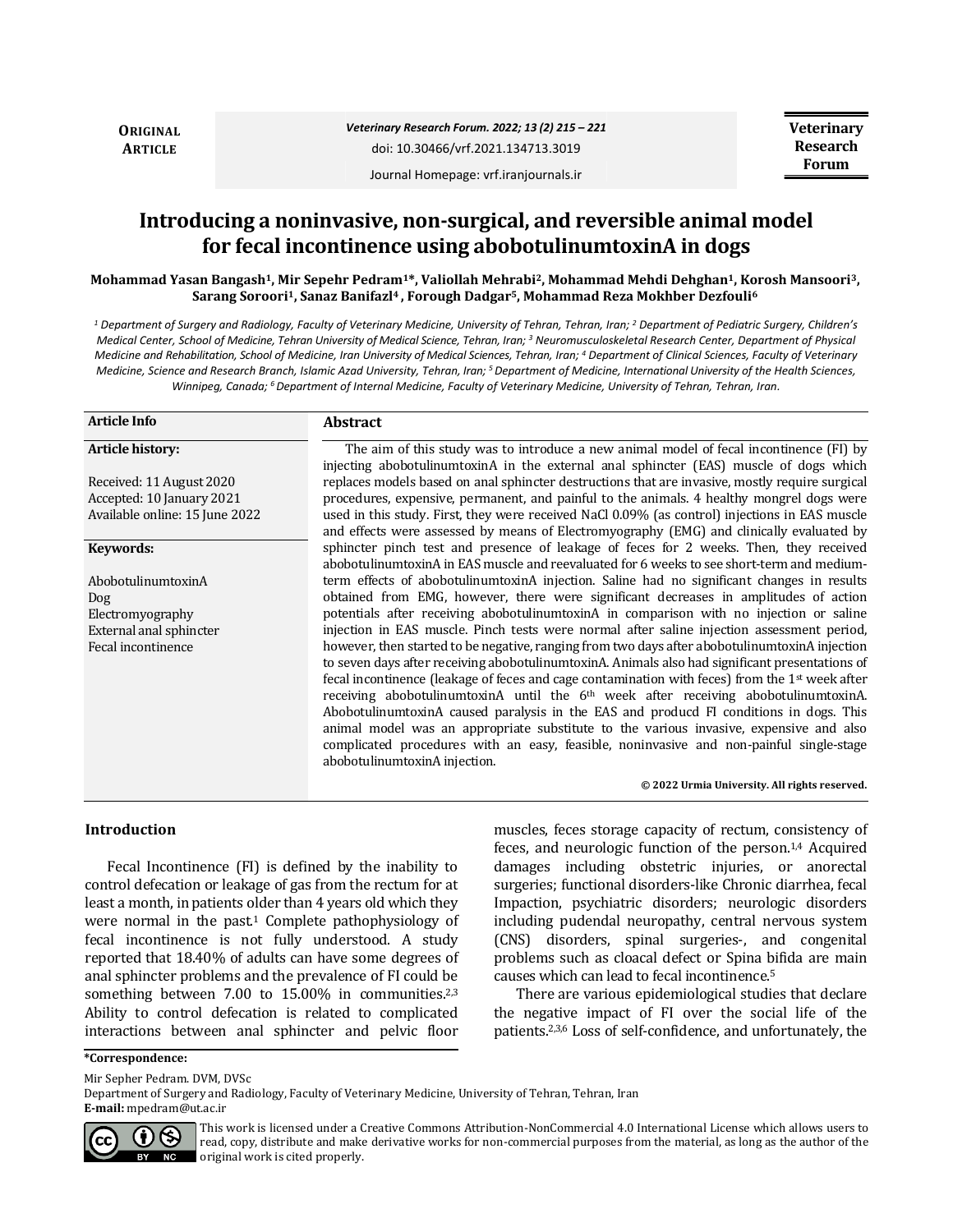**ORIGINAL ARTICLE**

Journal Homepage: vrf.iranjournals.ir

# **Introducing a noninvasive, non-surgical, and reversible animal model for fecal incontinence using abobotulinumtoxinA in dogs**

**Mohammad Yasan Bangash1, Mir Sepehr Pedram1\*, Valiollah Mehrabi2, Mohammad Mehdi Dehghan1, Korosh Mansoori3, Sarang Soroori1, Sanaz Banifazl4 , Forough Dadgar5, Mohammad Reza Mokhber Dezfouli<sup>6</sup>**

*<sup>1</sup> Department of Surgery and Radiology, Faculty of Veterinary Medicine, University of Tehran, Tehran, Iran; <sup>2</sup> Department of Pediatric Surgery, Children's Medical Center, School of Medicine, Tehran University of Medical Science, Tehran, Iran; <sup>3</sup> Neuromusculoskeletal Research Center, Department of Physical Medicine and Rehabilitation, School of Medicine, Iran University of Medical Sciences, Tehran, Iran; <sup>4</sup> Department of Clinical Sciences, Faculty of Veterinary Medicine, Science and Research Branch, Islamic Azad University, Tehran, Iran; <sup>5</sup>Department of Medicine, International University of the Health Sciences, Winnipeg, Canada; <sup>6</sup>Department of Internal Medicine, Faculty of Veterinary Medicine, University of Tehran, Tehran, Iran.*

| <b>Article Info</b>            | <b>Abstract</b>                                                                                                                                                                            |
|--------------------------------|--------------------------------------------------------------------------------------------------------------------------------------------------------------------------------------------|
| Article history:               | The aim of this study was to introduce a new animal model of fecal incontinence (FI) by                                                                                                    |
| Received: 11 August 2020       | injecting abobotulinumtoxinA in the external anal sphincter (EAS) muscle of dogs which<br>replaces models based on anal sphincter destructions that are invasive, mostly require surgical  |
| Accepted: 10 January 2021      | procedures, expensive, permanent, and painful to the animals. 4 healthy mongrel dogs were                                                                                                  |
| Available online: 15 June 2022 | used in this study. First, they were received NaCl 0.09% (as control) injections in EAS muscle<br>and effects were assessed by means of Electromyography (EMG) and clinically evaluated by |
| Keywords:                      | sphincter pinch test and presence of leakage of feces for 2 weeks. Then, they received<br>abobotulinumtoxinA in EAS muscle and reevaluated for 6 weeks to see short-term and medium-       |
| AbobotulinumtoxinA             | term effects of abobotulinumtoxinA injection. Saline had no significant changes in results                                                                                                 |
| Dog                            | obtained from EMG, however, there were significant decreases in amplitudes of action                                                                                                       |
| Electromyography               | potentials after receiving abobotulinumtoxinA in comparison with no injection or saline                                                                                                    |
| External anal sphincter        | injection in EAS muscle. Pinch tests were normal after saline injection assessment period,                                                                                                 |
| Fecal incontinence             | however, then started to be negative, ranging from two days after abobotulinumtoxinA injection                                                                                             |
|                                | to seven days after receiving abobotulinum toxin A. Animals also had significant presentations of                                                                                          |
|                                | fecal incontinence (leakage of feces and cage contamination with feces) from the $1st$ week after                                                                                          |
|                                | receiving abobotulinum toxin $A$ until the $6th$ week after receiving abobotulinum toxin $A$ .                                                                                             |
|                                | AbobotulinumtoxinA caused paralysis in the EAS and producd FI conditions in dogs. This                                                                                                     |
|                                | animal model was an appropriate substitute to the various invasive, expensive and also                                                                                                     |
|                                | complicated procedures with an easy, feasible, noninvasive and non-painful single-stage<br>abobotulinumtoxinA injection.                                                                   |
|                                | @ 2022 Urmia University All rights reserved                                                                                                                                                |

#### © 2022 Urmia University. All rights reser

## **Introduction**

Fecal Incontinence (FI) is defined by the inability to control defecation or leakage of gas from the rectum for at least a month, in patients older than 4 years old which they were normal in the past. $1$  Complete pathophysiology of fecal incontinence is not fully understood. A study reported that 18.40% of adults can have some degrees of anal sphincter problems and the prevalence of FI could be something between 7.00 to 15.00% in communities.<sup>2,3</sup> Ability to control defecation is related to complicated interactions between anal sphincter and pelvic floor muscles, feces storage capacity of rectum, consistency of feces, and neurologic function of the person.<sup>1,4</sup> Acquired damages including obstetric injuries, or anorectal surgeries; functional disorders-like Chronic diarrhea, fecal Impaction, psychiatric disorders; neurologic disorders including pudendal neuropathy, central nervous system (CNS) disorders, spinal surgeries-, and congenital problems such as cloacal defect or Spina bifida are main causes which can lead to fecal incontinence.<sup>5</sup>

There are various epidemiological studies that declare the negative impact of FI over the social life of the patients.2,3,6 Loss of self-confidence, and unfortunately, the

**\*Correspondence:**

Mir Sepher Pedram. DVM, DVSc

Department of Surgery and Radiology, Faculty of Veterinary Medicine, University of Tehran, Tehran, Iran **E-mail:** mpedram@ut.ac.ir



This work is licensed under a [Creative Commons Attribution-NonCommercial 4.0 International License](http://creativecommons.org/licenses/by-nc/4.0/) which allows users to read, copy, distribute and make derivative works for non-commercial purposes from the material, as long as the author of the original work is cited properly.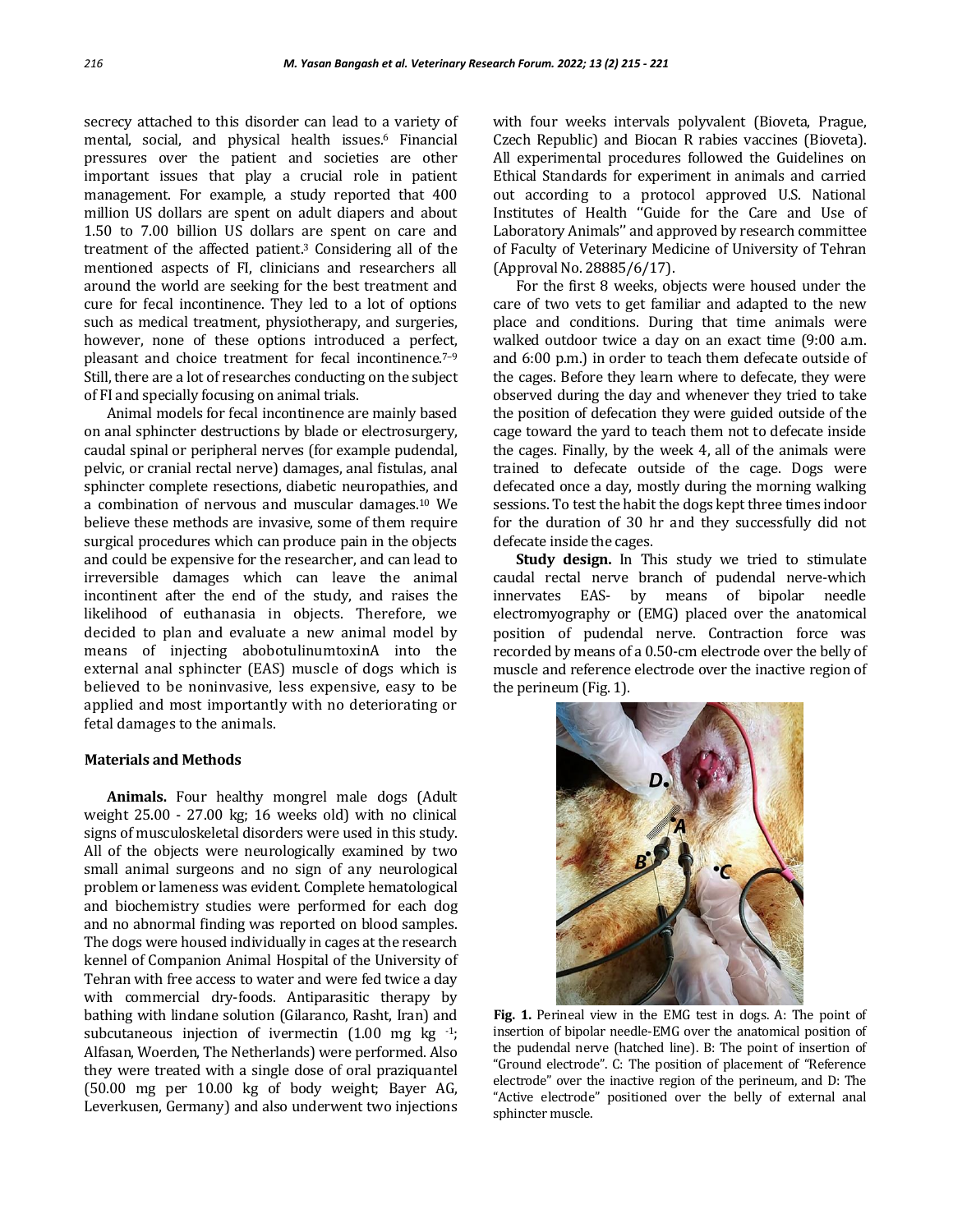secrecy attached to this disorder can lead to a variety of mental, social, and physical health issues.<sup>6</sup> Financial pressures over the patient and societies are other important issues that play a crucial role in patient management. For example, a study reported that 400 million US dollars are spent on adult diapers and about 1.50 to 7.00 billion US dollars are spent on care and treatment of the affected patient.<sup>3</sup> Considering all of the mentioned aspects of FI, clinicians and researchers all around the world are seeking for the best treatment and cure for fecal incontinence. They led to a lot of options such as medical treatment, physiotherapy, and surgeries, however, none of these options introduced a perfect, pleasant and choice treatment for fecal incontinence.<sup>7-9</sup> Still, there are a lot of researches conducting on the subject of FI and specially focusing on animal trials.

Animal models for fecal incontinence are mainly based on anal sphincter destructions by blade or electrosurgery, caudal spinal or peripheral nerves (for example pudendal, pelvic, or cranial rectal nerve) damages, anal fistulas, anal sphincter complete resections, diabetic neuropathies, and a combination of nervous and muscular damages.<sup>10</sup> We believe these methods are invasive, some of them require surgical procedures which can produce pain in the objects and could be expensive for the researcher, and can lead to irreversible damages which can leave the animal incontinent after the end of the study, and raises the likelihood of euthanasia in objects. Therefore, we decided to plan and evaluate a new animal model by means of injecting abobotulinumtoxinA into the external anal sphincter (EAS) muscle of dogs which is believed to be noninvasive, less expensive, easy to be applied and most importantly with no deteriorating or fetal damages to the animals.

## **Materials and Methods**

**Animals.** Four healthy mongrel male dogs (Adult weight 25.00 - 27.00 kg; 16 weeks old) with no clinical signs of musculoskeletal disorders were used in this study. All of the objects were neurologically examined by two small animal surgeons and no sign of any neurological problem or lameness was evident. Complete hematological and biochemistry studies were performed for each dog and no abnormal finding was reported on blood samples. The dogs were housed individually in cages at the research kennel of Companion Animal Hospital of the University of Tehran with free access to water and were fed twice a day with commercial dry-foods. Antiparasitic therapy by bathing with lindane solution (Gilaranco, Rasht, Iran) and subcutaneous injection of ivermectin  $(1.00 \text{ mg kg}^{-1})$ ; Alfasan, Woerden, The Netherlands) were performed. Also they were treated with a single dose of oral praziquantel (50.00 mg per 10.00 kg of body weight; Bayer AG, Leverkusen, Germany) and also underwent two injections

with four weeks intervals polyvalent (Bioveta, Prague, Czech Republic) and Biocan R rabies vaccines (Bioveta). All experimental procedures followed the Guidelines on Ethical Standards for experiment in animals and carried out according to a protocol approved U.S. National Institutes of Health ''Guide for the Care and Use of Laboratory Animals'' and approved by research committee of Faculty of Veterinary Medicine of University of Tehran (Approval No. 28885/6/17).

For the first 8 weeks, objects were housed under the care of two vets to get familiar and adapted to the new place and conditions. During that time animals were walked outdoor twice a day on an exact time (9:00 a.m. and 6:00 p.m.) in order to teach them defecate outside of the cages. Before they learn where to defecate, they were observed during the day and whenever they tried to take the position of defecation they were guided outside of the cage toward the yard to teach them not to defecate inside the cages. Finally, by the week 4, all of the animals were trained to defecate outside of the cage. Dogs were defecated once a day, mostly during the morning walking sessions. To test the habit the dogs kept three times indoor for the duration of 30 hr and they successfully did not defecate inside the cages.

**Study design.** In This study we tried to stimulate caudal rectal nerve branch of pudendal nerve-which innervates EAS- by means of bipolar needle electromyography or (EMG) placed over the anatomical position of pudendal nerve. Contraction force was recorded by means of a 0.50-cm electrode over the belly of muscle and reference electrode over the inactive region of the perineum (Fig. 1).



**Fig. 1.** Perineal view in the EMG test in dogs. A: The point of insertion of bipolar needle-EMG over the anatomical position of the pudendal nerve (hatched line). B: The point of insertion of "Ground electrode". C: The position of placement of "Reference electrode" over the inactive region of the perineum, and D: The "Active electrode" positioned over the belly of external anal sphincter muscle.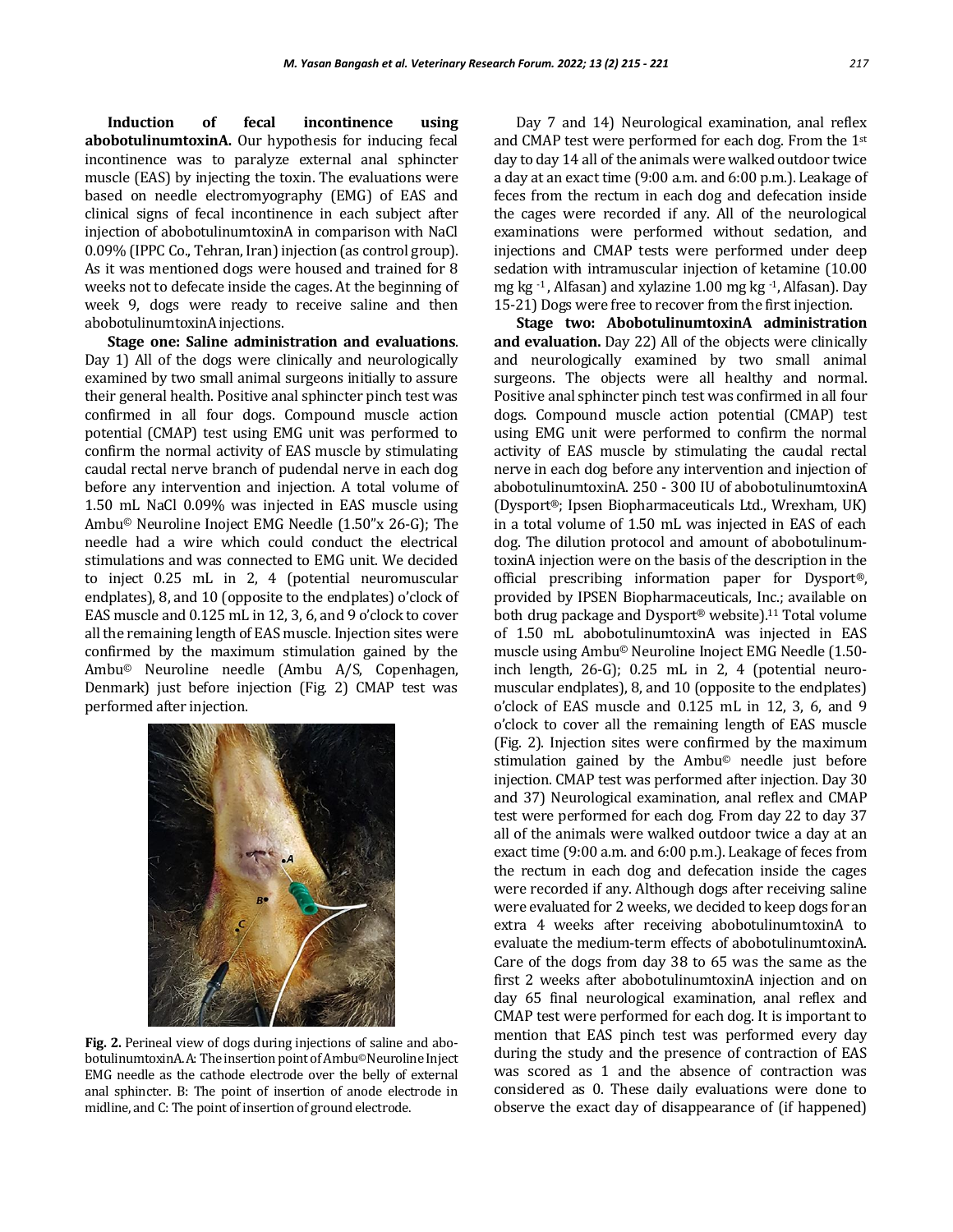**Induction of fecal incontinence using abobotulinumtoxinA.** Our hypothesis for inducing fecal incontinence was to paralyze external anal sphincter muscle (EAS) by injecting the toxin. The evaluations were based on needle electromyography (EMG) of EAS and clinical signs of fecal incontinence in each subject after injection of abobotulinumtoxinA in comparison with NaCl 0.09% (IPPC Co., Tehran, Iran) injection (as control group). As it was mentioned dogs were housed and trained for 8 weeks not to defecate inside the cages. At the beginning of week 9, dogs were ready to receive saline and then abobotulinumtoxinA injections.

**Stage one: Saline administration and evaluations**. Day 1) All of the dogs were clinically and neurologically examined by two small animal surgeons initially to assure their general health. Positive anal sphincter pinch test was confirmed in all four dogs. Compound muscle action potential (CMAP) test using EMG unit was performed to confirm the normal activity of EAS muscle by stimulating caudal rectal nerve branch of pudendal nerve in each dog before any intervention and injection. A total volume of 1.50 mL NaCl 0.09% was injected in EAS muscle using Ambu© Neuroline Inoject EMG Needle (1.50"x 26-G); The needle had a wire which could conduct the electrical stimulations and was connected to EMG unit. We decided to inject 0.25 mL in 2, 4 (potential neuromuscular endplates), 8, and 10 (opposite to the endplates) o'clock of EAS muscle and 0.125 mL in 12, 3, 6, and 9 o'clock to cover all the remaining length of EAS muscle. Injection sites were confirmed by the maximum stimulation gained by the Ambu© Neuroline needle (Ambu A/S, Copenhagen, Denmark) just before injection (Fig. 2) CMAP test was performed after injection.



**Fig. 2.** Perineal view of dogs during injections of saline and abobotulinumtoxinA. A: The insertion point of Ambu©Neuroline Inject EMG needle as the cathode electrode over the belly of external anal sphincter. B: The point of insertion of anode electrode in midline, and C: The point of insertion of ground electrode.

Day 7 and 14) Neurological examination, anal reflex and CMAP test were performed for each dog. From the 1st day to day 14 all of the animals were walked outdoor twice a day at an exact time (9:00 a.m. and 6:00 p.m.). Leakage of feces from the rectum in each dog and defecation inside the cages were recorded if any. All of the neurological examinations were performed without sedation, and injections and CMAP tests were performed under deep sedation with intramuscular injection of ketamine (10.00 mg kg -1 , Alfasan) and xylazine 1.00 mg kg -1,Alfasan). Day 15-21) Dogs were free to recover from the first injection.

**Stage two: AbobotulinumtoxinA administration and evaluation.** Day 22) All of the objects were clinically and neurologically examined by two small animal surgeons. The objects were all healthy and normal. Positive anal sphincter pinch test was confirmed in all four dogs. Compound muscle action potential (CMAP) test using EMG unit were performed to confirm the normal activity of EAS muscle by stimulating the caudal rectal nerve in each dog before any intervention and injection of abobotulinumtoxinA. 250 - 300 IU of abobotulinumtoxinA (Dysport®; Ipsen Biopharmaceuticals Ltd., Wrexham, UK) in a total volume of 1.50 mL was injected in EAS of each dog. The dilution protocol and amount of abobotulinumtoxinA injection were on the basis of the description in the official prescribing information paper for Dysport®, provided by IPSEN Biopharmaceuticals, Inc.; available on both drug package and Dysport® website).<sup>11</sup> Total volume of 1.50 mL abobotulinumtoxinA was injected in EAS muscle using Ambu© Neuroline Inoject EMG Needle (1.50 inch length, 26-G); 0.25 mL in 2, 4 (potential neuromuscular endplates), 8, and 10 (opposite to the endplates) o'clock of EAS muscle and 0.125 mL in 12, 3, 6, and 9 o'clock to cover all the remaining length of EAS muscle (Fig. 2). Injection sites were confirmed by the maximum stimulation gained by the Ambu© needle just before injection. CMAP test was performed after injection. Day 30 and 37) Neurological examination, anal reflex and CMAP test were performed for each dog. From day 22 to day 37 all of the animals were walked outdoor twice a day at an exact time (9:00 a.m. and 6:00 p.m.). Leakage of feces from the rectum in each dog and defecation inside the cages were recorded if any. Although dogs after receiving saline were evaluated for 2 weeks, we decided to keep dogs for an extra 4 weeks after receiving abobotulinumtoxinA to evaluate the medium-term effects of abobotulinumtoxinA. Care of the dogs from day 38 to 65 was the same as the first 2 weeks after abobotulinumtoxinA injection and on day 65 final neurological examination, anal reflex and CMAP test were performed for each dog. It is important to mention that EAS pinch test was performed every day during the study and the presence of contraction of EAS was scored as 1 and the absence of contraction was considered as 0. These daily evaluations were done to observe the exact day of disappearance of (if happened)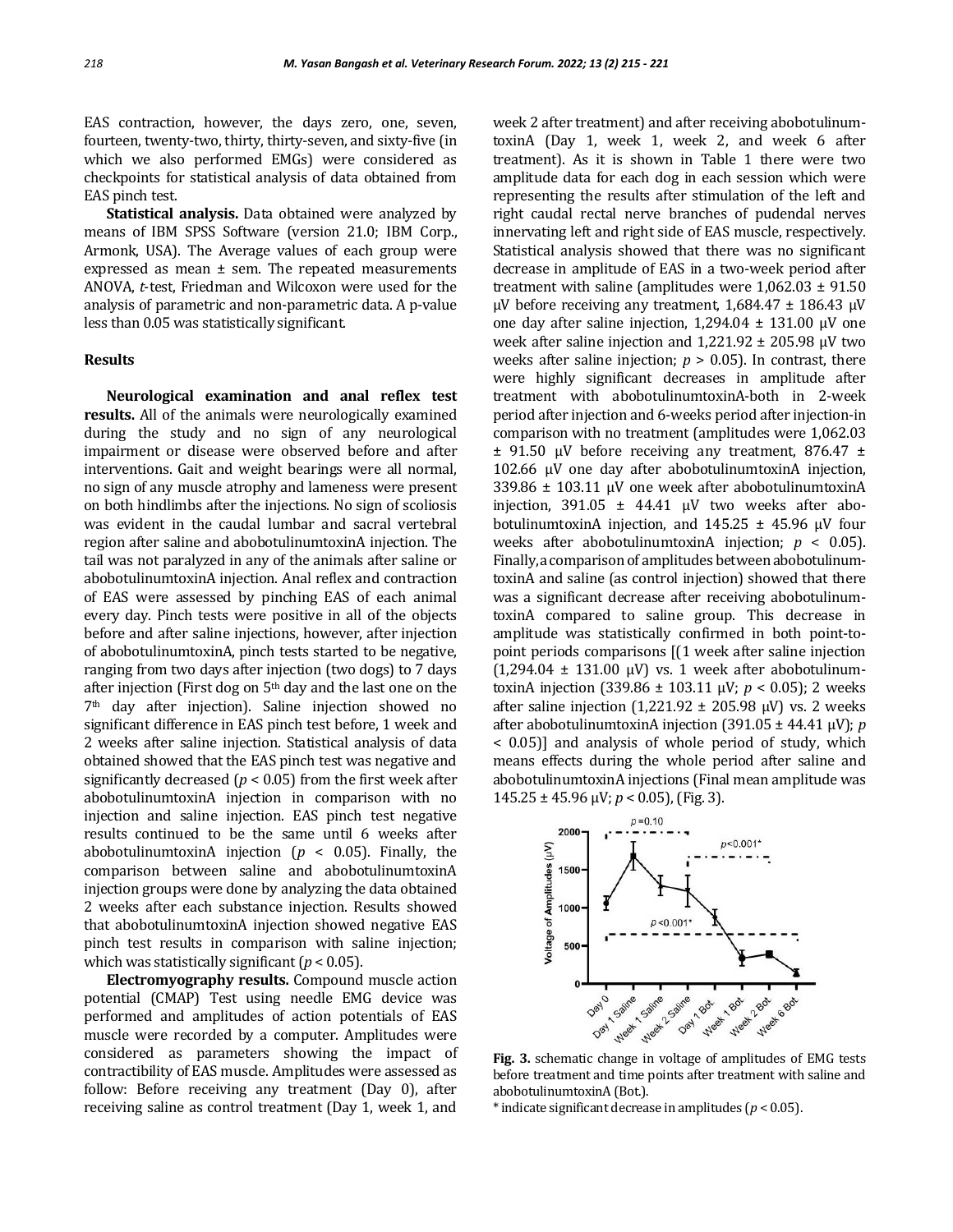EAS contraction, however, the days zero, one, seven, fourteen, twenty-two, thirty, thirty-seven, and sixty-five (in which we also performed EMGs) were considered as checkpoints for statistical analysis of data obtained from EAS pinch test.

**Statistical analysis.** Data obtained were analyzed by means of IBM SPSS Software (version 21.0; IBM Corp., Armonk, USA). The Average values of each group were expressed as mean  $\pm$  sem. The repeated measurements ANOVA, *t*-test, Friedman and Wilcoxon were used for the analysis of parametric and non-parametric data. A p-value less than 0.05 was statistically significant.

### **Results**

**Neurological examination and anal reflex test results.** All of the animals were neurologically examined during the study and no sign of any neurological impairment or disease were observed before and after interventions. Gait and weight bearings were all normal, no sign of any muscle atrophy and lameness were present on both hindlimbs after the injections. No sign of scoliosis was evident in the caudal lumbar and sacral vertebral region after saline and abobotulinumtoxinA injection. The tail was not paralyzed in any of the animals after saline or abobotulinumtoxinA injection. Anal reflex and contraction of EAS were assessed by pinching EAS of each animal every day. Pinch tests were positive in all of the objects before and after saline injections, however, after injection of abobotulinumtoxinA, pinch tests started to be negative, ranging from two days after injection (two dogs) to 7 days after injection (First dog on 5th day and the last one on the 7th day after injection). Saline injection showed no significant difference in EAS pinch test before, 1 week and 2 weeks after saline injection. Statistical analysis of data obtained showed that the EAS pinch test was negative and significantly decreased ( $p < 0.05$ ) from the first week after abobotulinumtoxinA injection in comparison with no injection and saline injection. EAS pinch test negative results continued to be the same until 6 weeks after abobotulinumtoxinA injection ( $p < 0.05$ ). Finally, the comparison between saline and abobotulinumtoxinA injection groups were done by analyzing the data obtained 2 weeks after each substance injection. Results showed that abobotulinumtoxinA injection showed negative EAS pinch test results in comparison with saline injection; which was statistically significant  $(p < 0.05)$ .

**Electromyography results.** Compound muscle action potential (CMAP) Test using needle EMG device was performed and amplitudes of action potentials of EAS muscle were recorded by a computer. Amplitudes were considered as parameters showing the impact of contractibility of EAS muscle. Amplitudes were assessed as follow: Before receiving any treatment (Day 0), after receiving saline as control treatment (Day 1, week 1, and

week 2 after treatment) and after receiving abobotulinumtoxinA (Day 1, week 1, week 2, and week 6 after treatment). As it is shown in Table 1 there were two amplitude data for each dog in each session which were representing the results after stimulation of the left and right caudal rectal nerve branches of pudendal nerves innervating left and right side of EAS muscle, respectively. Statistical analysis showed that there was no significant decrease in amplitude of EAS in a two-week period after treatment with saline (amplitudes were  $1,062.03 \pm 91.50$  $\mu$ V before receiving any treatment, 1,684.47 ± 186.43  $\mu$ V one day after saline injection,  $1,294.04 \pm 131.00 \mu V$  one week after saline injection and  $1,221.92 \pm 205.98 \mu V$  two weeks after saline injection;  $p > 0.05$ ). In contrast, there were highly significant decreases in amplitude after treatment with abobotulinumtoxinA-both in 2-week period after injection and 6-weeks period after injection-in comparison with no treatment (amplitudes were 1,062.03 ± 91.50 µV before receiving any treatment, 876.47 ± 102.66 µV one day after abobotulinumtoxinA injection, 339.86 ± 103.11 µV one week after abobotulinumtoxinA injection, 391.05 ± 44.41 µV two weeks after abobotulinumtoxinA injection, and  $145.25 \pm 45.96$  µV four weeks after abobotulinumtoxinA injection; *p* < 0.05). Finally, a comparison of amplitudes between abobotulinumtoxinA and saline (as control injection) showed that there was a significant decrease after receiving abobotulinumtoxinA compared to saline group. This decrease in amplitude was statistically confirmed in both point-topoint periods comparisons [(1 week after saline injection  $(1,294.04 \pm 131.00 \text{ } \mu\text{V})$  vs. 1 week after abobotulinumtoxinA injection (339.86 ± 103.11 µV; *p* < 0.05); 2 weeks after saline injection (1,221.92  $\pm$  205.98  $\mu$ V) vs. 2 weeks after abobotulinumtoxinA injection (391.05 ± 44.41 µV); *p* < 0.05)] and analysis of whole period of study, which means effects during the whole period after saline and abobotulinumtoxinA injections (Final mean amplitude was 145.25 ± 45.96 µV; *p* < 0.05), (Fig. 3).



before treatment and time points after treatment with saline and abobotulinumtoxinA (Bot.).

\* indicate significant decrease in amplitudes (*p* < 0.05).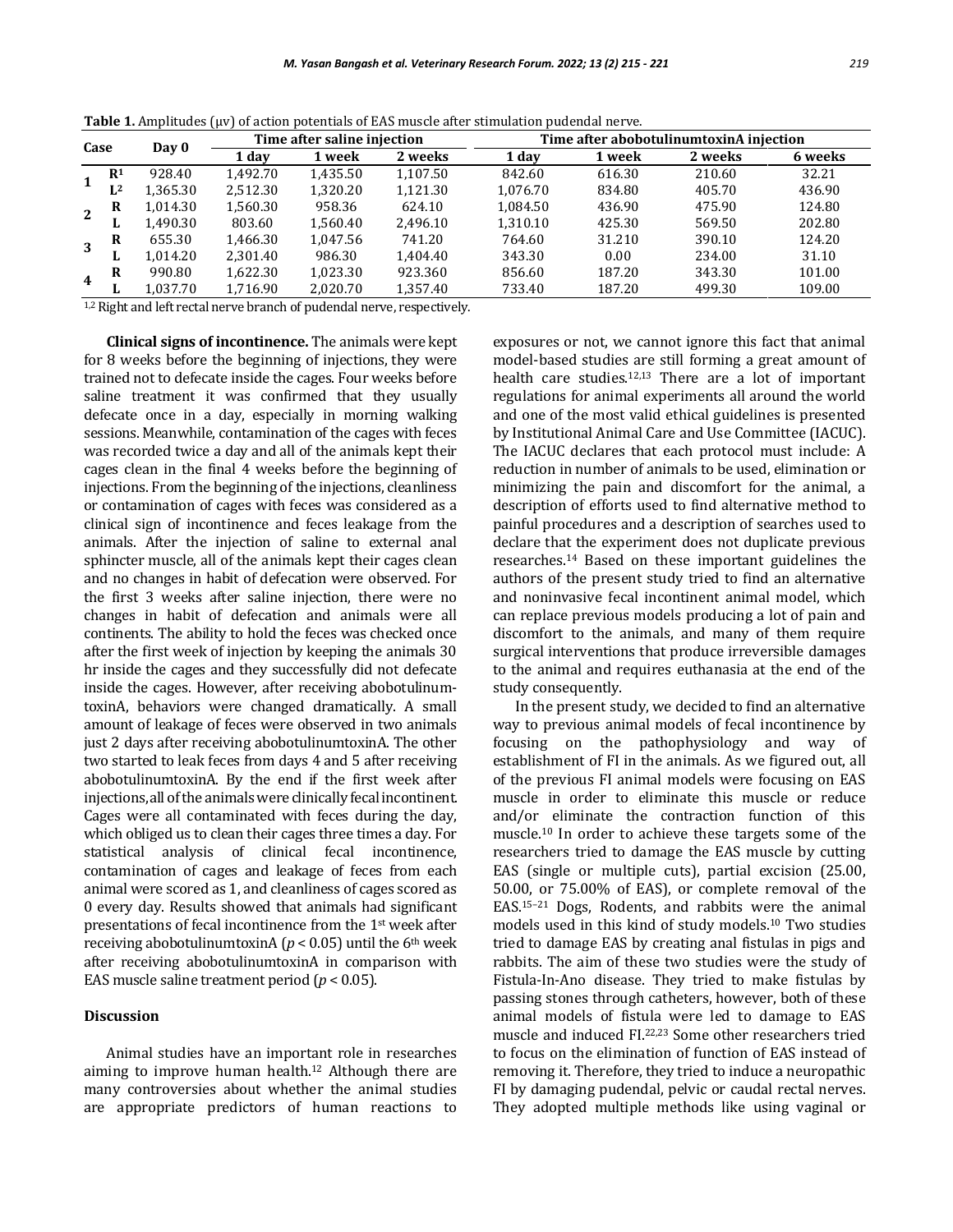| Case |                                    | Day 0    | Time after saline injection |          |          | Time after abobotulinum toxinA injection |        |         |         |
|------|------------------------------------|----------|-----------------------------|----------|----------|------------------------------------------|--------|---------|---------|
|      |                                    |          | 1 day                       | 1 week   | 2 weeks  | 1 day                                    | 1 week | 2 weeks | 6 weeks |
|      | R <sup>1</sup>                     | 928.40   | 1.492.70                    | 1.435.50 | 1.107.50 | 842.60                                   | 616.30 | 210.60  | 32.21   |
|      | $L^2$                              | 1,365.30 | 2,512.30                    | 1.320.20 | 1.121.30 | 1.076.70                                 | 834.80 | 405.70  | 436.90  |
| 2    | R                                  | 1.014.30 | 1,560.30                    | 958.36   | 624.10   | 1.084.50                                 | 436.90 | 475.90  | 124.80  |
|      |                                    | 1,490.30 | 803.60                      | 1,560.40 | 2.496.10 | 1.310.10                                 | 425.30 | 569.50  | 202.80  |
| 3    | R                                  | 655.30   | 1,466.30                    | 1.047.56 | 741.20   | 764.60                                   | 31.210 | 390.10  | 124.20  |
|      |                                    | 1.014.20 | 2.301.40                    | 986.30   | 1.404.40 | 343.30                                   | 0.00   | 234.00  | 31.10   |
| 4    | R                                  | 990.80   | 1,622.30                    | 1.023.30 | 923.360  | 856.60                                   | 187.20 | 343.30  | 101.00  |
|      | ш.                                 | 1.037.70 | 1,716.90                    | 2.020.70 | 1,357.40 | 733.40                                   | 187.20 | 499.30  | 109.00  |
|      | $\sim$ $\sim$ $\sim$ $\sim$ $\sim$ | .        | .                           |          |          |                                          |        |         |         |

**Table 1.** Amplitudes ( $\mu$ v) of action potentials of EAS muscle after stimulation pudendal nerve.

<sup>1,2</sup> Right and left rectal nerve branch of pudendal nerve, respectively.

**Clinical signs of incontinence.** The animals were kept for 8 weeks before the beginning of injections, they were trained not to defecate inside the cages. Four weeks before saline treatment it was confirmed that they usually defecate once in a day, especially in morning walking sessions. Meanwhile, contamination of the cages with feces was recorded twice a day and all of the animals kept their cages clean in the final 4 weeks before the beginning of injections. From the beginning of the injections, cleanliness or contamination of cages with feces was considered as a clinical sign of incontinence and feces leakage from the animals. After the injection of saline to external anal sphincter muscle, all of the animals kept their cages clean and no changes in habit of defecation were observed. For the first 3 weeks after saline injection, there were no changes in habit of defecation and animals were all continents. The ability to hold the feces was checked once after the first week of injection by keeping the animals 30 hr inside the cages and they successfully did not defecate inside the cages. However, after receiving abobotulinumtoxinA, behaviors were changed dramatically. A small amount of leakage of feces were observed in two animals just 2 days after receiving abobotulinumtoxinA. The other two started to leak feces from days 4 and 5 after receiving abobotulinumtoxinA. By the end if the first week after injections, all of the animals were clinically fecal incontinent. Cages were all contaminated with feces during the day, which obliged us to clean their cages three times a day. For statistical analysis of clinical fecal incontinence, contamination of cages and leakage of feces from each animal were scored as 1, and cleanliness of cages scored as 0 every day. Results showed that animals had significant presentations of fecal incontinence from the 1st week after receiving abobotulinumtoxinA ( $p$  < 0.05) until the 6<sup>th</sup> week after receiving abobotulinumtoxinA in comparison with EAS muscle saline treatment period (*p* < 0.05).

## **Discussion**

Animal studies have an important role in researches aiming to improve human health.<sup>12</sup> Although there are many controversies about whether the animal studies are appropriate predictors of human reactions to exposures or not, we cannot ignore this fact that animal model-based studies are still forming a great amount of health care studies.<sup>12,13</sup> There are a lot of important regulations for animal experiments all around the world and one of the most valid ethical guidelines is presented by Institutional Animal Care and Use Committee (IACUC). The IACUC declares that each protocol must include: A reduction in number of animals to be used, elimination or minimizing the pain and discomfort for the animal, a description of efforts used to find alternative method to painful procedures and a description of searches used to declare that the experiment does not duplicate previous researches.<sup>14</sup> Based on these important guidelines the authors of the present study tried to find an alternative and noninvasive fecal incontinent animal model, which can replace previous models producing a lot of pain and discomfort to the animals, and many of them require surgical interventions that produce irreversible damages to the animal and requires euthanasia at the end of the study consequently.

In the present study, we decided to find an alternative way to previous animal models of fecal incontinence by focusing on the pathophysiology and way of establishment of FI in the animals. As we figured out, all of the previous FI animal models were focusing on EAS muscle in order to eliminate this muscle or reduce and/or eliminate the contraction function of this muscle.<sup>10</sup> In order to achieve these targets some of the researchers tried to damage the EAS muscle by cutting EAS (single or multiple cuts), partial excision (25.00, 50.00, or 75.00% of EAS), or complete removal of the EAS.15–<sup>21</sup> Dogs, Rodents, and rabbits were the animal models used in this kind of study models.<sup>10</sup> Two studies tried to damage EAS by creating anal fistulas in pigs and rabbits. The aim of these two studies were the study of Fistula-In-Ano disease. They tried to make fistulas by passing stones through catheters, however, both of these animal models of fistula were led to damage to EAS muscle and induced FI.22,23 Some other researchers tried to focus on the elimination of function of EAS instead of removing it. Therefore, they tried to induce a neuropathic FI by damaging pudendal, pelvic or caudal rectal nerves. They adopted multiple methods like using vaginal or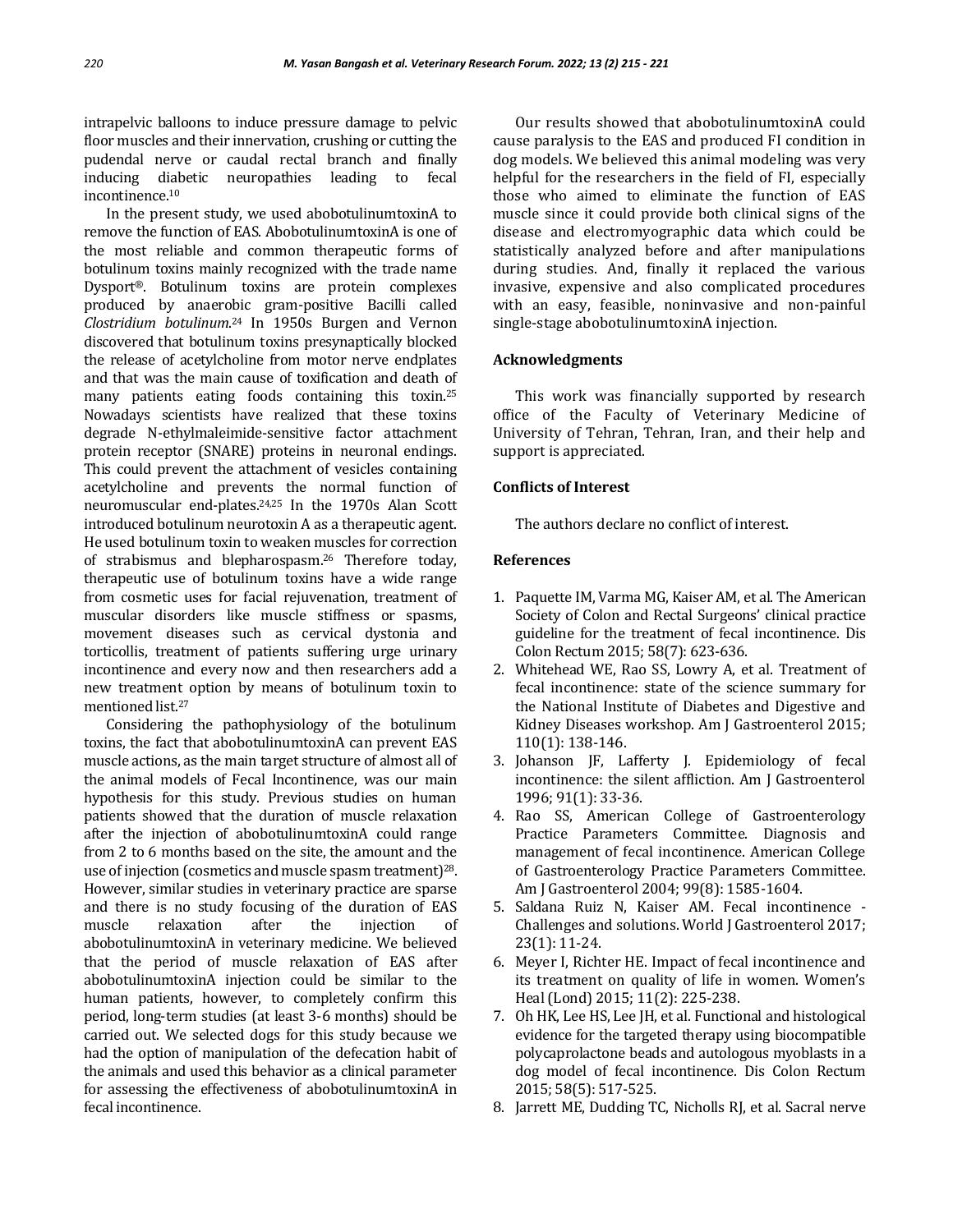intrapelvic balloons to induce pressure damage to pelvic floor muscles and their innervation, crushing or cutting the pudendal nerve or caudal rectal branch and finally inducing diabetic neuropathies leading to fecal incontinence.<sup>10</sup>

In the present study, we used abobotulinumtoxinA to remove the function of EAS. AbobotulinumtoxinA is one of the most reliable and common therapeutic forms of botulinum toxins mainly recognized with the trade name Dysport®. Botulinum toxins are protein complexes produced by anaerobic gram-positive Bacilli called *Clostridium botulinum*. <sup>24</sup> In 1950s Burgen and Vernon discovered that botulinum toxins presynaptically blocked the release of acetylcholine from motor nerve endplates and that was the main cause of toxification and death of many patients eating foods containing this toxin.<sup>25</sup> Nowadays scientists have realized that these toxins degrade N-ethylmaleimide-sensitive factor attachment protein receptor (SNARE) proteins in neuronal endings. This could prevent the attachment of vesicles containing acetylcholine and prevents the normal function of neuromuscular end-plates.24,25 In the 1970s Alan Scott introduced botulinum neurotoxin A as a therapeutic agent. He used botulinum toxin to weaken muscles for correction of strabismus and blepharospasm.<sup>26</sup> Therefore today, therapeutic use of botulinum toxins have a wide range from cosmetic uses for facial rejuvenation, treatment of muscular disorders like muscle stiffness or spasms, movement diseases such as cervical dystonia and torticollis, treatment of patients suffering urge urinary incontinence and every now and then researchers add a new treatment option by means of botulinum toxin to mentioned list.<sup>27</sup>

Considering the pathophysiology of the botulinum toxins, the fact that abobotulinumtoxinA can prevent EAS muscle actions, as the main target structure of almost all of the animal models of Fecal Incontinence, was our main hypothesis for this study. Previous studies on human patients showed that the duration of muscle relaxation after the injection of abobotulinumtoxinA could range from 2 to 6 months based on the site, the amount and the use of injection (cosmetics and muscle spasm treatment)28. However, similar studies in veterinary practice are sparse and there is no study focusing of the duration of EAS muscle relaxation after the injection of abobotulinumtoxinA in veterinary medicine. We believed that the period of muscle relaxation of EAS after abobotulinumtoxinA injection could be similar to the human patients, however, to completely confirm this period, long-term studies (at least 3-6 months) should be carried out. We selected dogs for this study because we had the option of manipulation of the defecation habit of the animals and used this behavior as a clinical parameter for assessing the effectiveness of abobotulinumtoxinA in fecal incontinence.

Our results showed that abobotulinumtoxinA could cause paralysis to the EAS and produced FI condition in dog models. We believed this animal modeling was very helpful for the researchers in the field of FI, especially those who aimed to eliminate the function of EAS muscle since it could provide both clinical signs of the disease and electromyographic data which could be statistically analyzed before and after manipulations during studies. And, finally it replaced the various invasive, expensive and also complicated procedures with an easy, feasible, noninvasive and non-painful single-stage abobotulinumtoxinA injection.

## **Acknowledgments**

This work was financially supported by research office of the Faculty of Veterinary Medicine of University of Tehran, Tehran, Iran, and their help and support is appreciated.

## **Conflicts of Interest**

The authors declare no conflict of interest.

## **References**

- 1. Paquette IM, Varma MG, Kaiser AM, et al. The American Society of Colon and Rectal Surgeons' clinical practice guideline for the treatment of fecal incontinence. Dis Colon Rectum 2015; 58(7): 623-636.
- 2. Whitehead WE, Rao SS, Lowry A, et al. Treatment of fecal incontinence: state of the science summary for the National Institute of Diabetes and Digestive and Kidney Diseases workshop. Am J Gastroenterol 2015; 110(1): 138-146.
- 3. Johanson JF, Lafferty J. Epidemiology of fecal incontinence: the silent affliction. Am J Gastroenterol 1996; 91(1): 33-36.
- 4. Rao SS, American College of Gastroenterology Practice Parameters Committee. Diagnosis and management of fecal incontinence. American College of Gastroenterology Practice Parameters Committee. Am J Gastroenterol 2004; 99(8): 1585-1604.
- 5. Saldana Ruiz N, Kaiser AM. Fecal incontinence Challenges and solutions. World J Gastroenterol 2017; 23(1): 11-24.
- 6. Meyer I, Richter HE. Impact of fecal incontinence and its treatment on quality of life in women. Women's Heal (Lond) 2015; 11(2): 225-238.
- 7. Oh HK, Lee HS, Lee JH, et al. Functional and histological evidence for the targeted therapy using biocompatible polycaprolactone beads and autologous myoblasts in a dog model of fecal incontinence. Dis Colon Rectum 2015; 58(5): 517-525.
- 8. Jarrett ME, Dudding TC, Nicholls RJ, et al. Sacral nerve